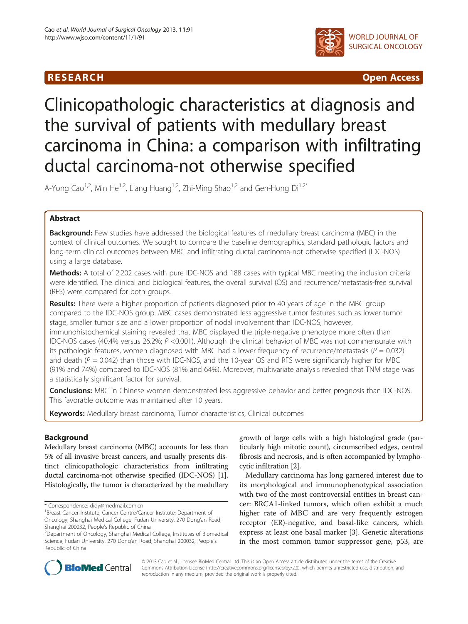# R E S EAR CH Open Access



# Clinicopathologic characteristics at diagnosis and the survival of patients with medullary breast carcinoma in China: a comparison with infiltrating ductal carcinoma-not otherwise specified

A-Yong Cao<sup>1,2</sup>, Min He<sup>1,2</sup>, Liang Huang<sup>1,2</sup>, Zhi-Ming Shao<sup>1,2</sup> and Gen-Hong Di<sup>1,2\*</sup>

# Abstract

**Background:** Few studies have addressed the biological features of medullary breast carcinoma (MBC) in the context of clinical outcomes. We sought to compare the baseline demographics, standard pathologic factors and long-term clinical outcomes between MBC and infiltrating ductal carcinoma-not otherwise specified (IDC-NOS) using a large database.

Methods: A total of 2,202 cases with pure IDC-NOS and 188 cases with typical MBC meeting the inclusion criteria were identified. The clinical and biological features, the overall survival (OS) and recurrence/metastasis-free survival (RFS) were compared for both groups.

Results: There were a higher proportion of patients diagnosed prior to 40 years of age in the MBC group compared to the IDC-NOS group. MBC cases demonstrated less aggressive tumor features such as lower tumor stage, smaller tumor size and a lower proportion of nodal involvement than IDC-NOS; however, immunohistochemical staining revealed that MBC displayed the triple-negative phenotype more often than IDC-NOS cases (40.4% versus 26.2%; P <0.001). Although the clinical behavior of MBC was not commensurate with its pathologic features, women diagnosed with MBC had a lower frequency of recurrence/metastasis ( $P = 0.032$ ) and death ( $P = 0.042$ ) than those with IDC-NOS, and the 10-year OS and RFS were significantly higher for MBC (91% and 74%) compared to IDC-NOS (81% and 64%). Moreover, multivariate analysis revealed that TNM stage was a statistically significant factor for survival.

**Conclusions:** MBC in Chinese women demonstrated less aggressive behavior and better prognosis than IDC-NOS. This favorable outcome was maintained after 10 years.

Keywords: Medullary breast carcinoma, Tumor characteristics, Clinical outcomes

# **Background**

Medullary breast carcinoma (MBC) accounts for less than 5% of all invasive breast cancers, and usually presents distinct clinicopathologic characteristics from infiltrating ductal carcinoma-not otherwise specified (IDC-NOS) [[1](#page-7-0)]. Histologically, the tumor is characterized by the medullary

growth of large cells with a high histological grade (particularly high mitotic count), circumscribed edges, central fibrosis and necrosis, and is often accompanied by lymphocytic infiltration [\[2](#page-7-0)].

Medullary carcinoma has long garnered interest due to its morphological and immunophenotypical association with two of the most controversial entities in breast cancer: BRCA1-linked tumors, which often exhibit a much higher rate of MBC and are very frequently estrogen receptor (ER)-negative, and basal-like cancers, which express at least one basal marker [[3\]](#page-7-0). Genetic alterations in the most common tumor suppressor gene, p53, are



© 2013 Cao et al.; licensee BioMed Central Ltd. This is an Open Access article distributed under the terms of the Creative Commons Attribution License [\(http://creativecommons.org/licenses/by/2.0\)](http://creativecommons.org/licenses/by/2.0), which permits unrestricted use, distribution, and reproduction in any medium, provided the original work is properly cited.

<sup>\*</sup> Correspondence: [didy@medmail.com.cn](mailto:didy@medmail.com.cn) <sup>1</sup>

<sup>&</sup>lt;sup>1</sup>Breast Cancer Institute, Cancer Centre/Cancer Institute; Department of Oncology, Shanghai Medical College, Fudan University, 270 Dong'an Road, Shanghai 200032, People's Republic of China <sup>2</sup>

<sup>&</sup>lt;sup>2</sup>Department of Oncology, Shanghai Medical College, Institutes of Biomedical Science, Fudan University, 270 Dong'an Road, Shanghai 200032, People's Republic of China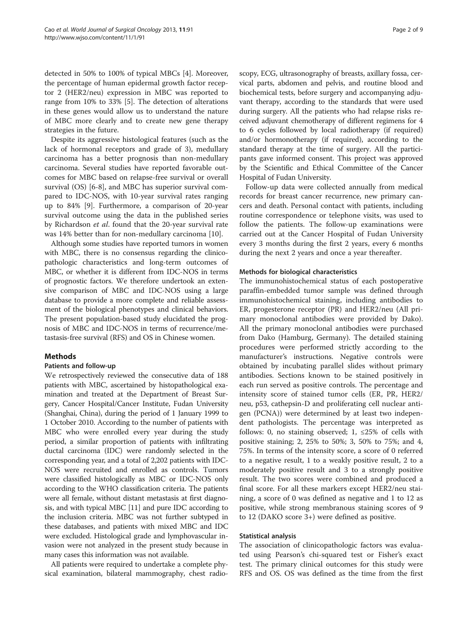detected in 50% to 100% of typical MBCs [[4](#page-7-0)]. Moreover, the percentage of human epidermal growth factor receptor 2 (HER2/neu) expression in MBC was reported to range from 10% to 33% [[5](#page-7-0)]. The detection of alterations in these genes would allow us to understand the nature of MBC more clearly and to create new gene therapy strategies in the future.

Despite its aggressive histological features (such as the lack of hormonal receptors and grade of 3), medullary carcinoma has a better prognosis than non-medullary carcinoma. Several studies have reported favorable outcomes for MBC based on relapse-free survival or overall survival (OS) [[6-8\]](#page-7-0), and MBC has superior survival compared to IDC-NOS, with 10-year survival rates ranging up to 84% [\[9](#page-7-0)]. Furthermore, a comparison of 20-year survival outcome using the data in the published series by Richardson et al. found that the 20-year survival rate was 14% better than for non-medullary carcinoma [[10\]](#page-7-0).

Although some studies have reported tumors in women with MBC, there is no consensus regarding the clinicopathologic characteristics and long-term outcomes of MBC, or whether it is different from IDC-NOS in terms of prognostic factors. We therefore undertook an extensive comparison of MBC and IDC-NOS using a large database to provide a more complete and reliable assessment of the biological phenotypes and clinical behaviors. The present population-based study elucidated the prognosis of MBC and IDC-NOS in terms of recurrence/metastasis-free survival (RFS) and OS in Chinese women.

# **Methods**

# Patients and follow-up

We retrospectively reviewed the consecutive data of 188 patients with MBC, ascertained by histopathological examination and treated at the Department of Breast Surgery, Cancer Hospital/Cancer Institute, Fudan University (Shanghai, China), during the period of 1 January 1999 to 1 October 2010. According to the number of patients with MBC who were enrolled every year during the study period, a similar proportion of patients with infiltrating ductal carcinoma (IDC) were randomly selected in the corresponding year, and a total of 2,202 patients with IDC-NOS were recruited and enrolled as controls. Tumors were classified histologically as MBC or IDC-NOS only according to the WHO classification criteria. The patients were all female, without distant metastasis at first diagnosis, and with typical MBC [\[11\]](#page-7-0) and pure IDC according to the inclusion criteria. MBC was not further subtyped in these databases, and patients with mixed MBC and IDC were excluded. Histological grade and lymphovascular invasion were not analyzed in the present study because in many cases this information was not available.

All patients were required to undertake a complete physical examination, bilateral mammography, chest radio-

scopy, ECG, ultrasonography of breasts, axillary fossa, cervical parts, abdomen and pelvis, and routine blood and biochemical tests, before surgery and accompanying adjuvant therapy, according to the standards that were used during surgery. All the patients who had relapse risks received adjuvant chemotherapy of different regimens for 4 to 6 cycles followed by local radiotherapy (if required) and/or hormonotherapy (if required), according to the standard therapy at the time of surgery. All the participants gave informed consent. This project was approved by the Scientific and Ethical Committee of the Cancer Hospital of Fudan University.

Follow-up data were collected annually from medical records for breast cancer recurrence, new primary cancers and death. Personal contact with patients, including routine correspondence or telephone visits, was used to follow the patients. The follow-up examinations were carried out at the Cancer Hospital of Fudan University every 3 months during the first 2 years, every 6 months during the next 2 years and once a year thereafter.

### Methods for biological characteristics

The immunohistochemical status of each postoperative paraffin-embedded tumor sample was defined through immunohistochemical staining, including antibodies to ER, progesterone receptor (PR) and HER2/neu (All primary monoclonal antibodies were provided by Dako). All the primary monoclonal antibodies were purchased from Dako (Hamburg, Germany). The detailed staining procedures were performed strictly according to the manufacturer's instructions. Negative controls were obtained by incubating parallel slides without primary antibodies. Sections known to be stained positively in each run served as positive controls. The percentage and intensity score of stained tumor cells (ER, PR, HER2/ neu, p53, cathepsin-D and proliferating cell nuclear antigen (PCNA)) were determined by at least two independent pathologists. The percentage was interpreted as follows: 0, no staining observed; 1,  $\leq$  25% of cells with positive staining; 2, 25% to 50%; 3, 50% to 75%; and 4, 75%. In terms of the intensity score, a score of 0 referred to a negative result, 1 to a weakly positive result, 2 to a moderately positive result and 3 to a strongly positive result. The two scores were combined and produced a final score. For all these markers except HER2/neu staining, a score of 0 was defined as negative and 1 to 12 as positive, while strong membranous staining scores of 9 to 12 (DAKO score 3+) were defined as positive.

#### Statistical analysis

The association of clinicopathologic factors was evaluated using Pearson's chi-squared test or Fisher's exact test. The primary clinical outcomes for this study were RFS and OS. OS was defined as the time from the first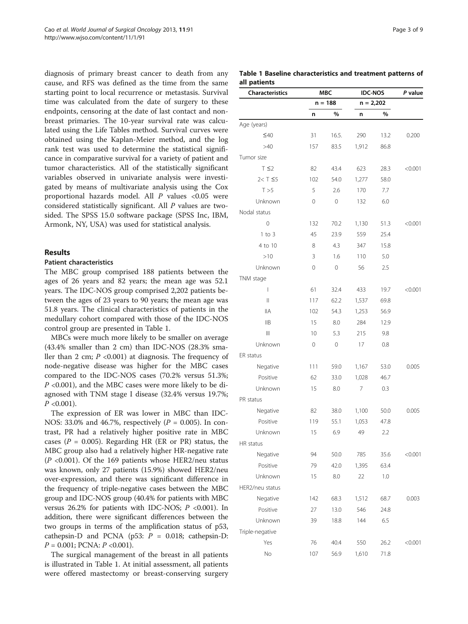diagnosis of primary breast cancer to death from any cause, and RFS was defined as the time from the same starting point to local recurrence or metastasis. Survival time was calculated from the date of surgery to these endpoints, censoring at the date of last contact and nonbreast primaries. The 10-year survival rate was calculated using the Life Tables method. Survival curves were obtained using the Kaplan-Meier method, and the log rank test was used to determine the statistical significance in comparative survival for a variety of patient and tumor characteristics. All of the statistically significant variables observed in univariate analysis were investigated by means of multivariate analysis using the Cox proportional hazards model. All P values <0.05 were considered statistically significant. All P values are twosided. The SPSS 15.0 software package (SPSS Inc, IBM, Armonk, NY, USA) was used for statistical analysis.

# Results

#### Patient characteristics

The MBC group comprised 188 patients between the ages of 26 years and 82 years; the mean age was 52.1 years. The IDC-NOS group comprised 2,202 patients between the ages of 23 years to 90 years; the mean age was 51.8 years. The clinical characteristics of patients in the medullary cohort compared with those of the IDC-NOS control group are presented in Table 1.

MBCs were much more likely to be smaller on average (43.4% smaller than 2 cm) than IDC-NOS (28.3% smaller than 2 cm;  $P \leq 0.001$ ) at diagnosis. The frequency of node-negative disease was higher for the MBC cases compared to the IDC-NOS cases (70.2% versus 51.3%;  $P \le 0.001$ ), and the MBC cases were more likely to be diagnosed with TNM stage I disease (32.4% versus 19.7%;  $P < 0.001$ ).

The expression of ER was lower in MBC than IDC-NOS: 33.0% and 46.7%, respectively ( $P = 0.005$ ). In contrast, PR had a relatively higher positive rate in MBC cases ( $P = 0.005$ ). Regarding HR (ER or PR) status, the MBC group also had a relatively higher HR-negative rate  $(P \le 0.001)$ . Of the 169 patients whose HER2/neu status was known, only 27 patients (15.9%) showed HER2/neu over-expression, and there was significant difference in the frequency of triple-negative cases between the MBC group and IDC-NOS group (40.4% for patients with MBC versus  $26.2\%$  for patients with IDC-NOS;  $P < 0.001$ ). In addition, there were significant differences between the two groups in terms of the amplification status of p53, cathepsin-D and PCNA ( $p53$ :  $P = 0.018$ ; cathepsin-D:  $P = 0.001$ ; PCNA:  $P < 0.001$ ).

The surgical management of the breast in all patients is illustrated in Table 1. At initial assessment, all patients were offered mastectomy or breast-conserving surgery

Table 1 Baseline characteristics and treatment patterns of all patients

| <b>Characteristics</b> | MBC<br>$n = 188$ |             | <b>IDC-NOS</b> |      | P value |
|------------------------|------------------|-------------|----------------|------|---------|
|                        |                  |             | $n = 2,202$    |      |         |
|                        | n                | %           | n              | %    |         |
| Age (years)            |                  |             |                |      |         |
| $\leq 40$              | 31               | 16.5.       | 290            | 13.2 | 0.200   |
| >40                    | 157              | 83.5        | 1,912          | 86.8 |         |
| Tumor size             |                  |             |                |      |         |
| $T \leq 2$             | 82               | 43.4        | 623            | 28.3 | < 0.001 |
| $2 < T \leq 5$         | 102              | 54.0        | 1,277          | 58.0 |         |
| T > 5                  | 5                | 2.6         | 170            | 7.7  |         |
| Unknown                | 0                | 0           | 132            | 6.0  |         |
| Nodal status           |                  |             |                |      |         |
| 0                      | 132              | 70.2        | 1,130          | 51.3 | < 0.001 |
| $1$ to $3$             | 45               | 23.9        | 559            | 25.4 |         |
| 4 to 10                | 8                | 4.3         | 347            | 15.8 |         |
| >10                    | 3                | 1.6         | 110            | 5.0  |         |
| Unknown                | 0                | 0           | 56             | 2.5  |         |
| TNM stage              |                  |             |                |      |         |
| $\overline{1}$         | 61               | 32.4        | 433            | 19.7 | < 0.001 |
| $\label{eq:1}   $      | 117              | 62.2        | 1,537          | 69.8 |         |
| <b>IIA</b>             | 102              | 54.3        | 1,253          | 56.9 |         |
| IIB                    | 15               | 8.0         | 284            | 12.9 |         |
| $\parallel \parallel$  | 10               | 5.3         | 215            | 9.8  |         |
| Unknown                | $\mathbf{0}$     | $\mathbf 0$ | 17             | 0.8  |         |
| ER status              |                  |             |                |      |         |
| Negative               | 111              | 59.0        | 1,167          | 53.0 | 0.005   |
| Positive               | 62               | 33.0        | 1,028          | 46.7 |         |
| Unknown                | 15               | 8.0         | 7              | 0.3  |         |
| PR status              |                  |             |                |      |         |
| Negative               | 82               | 38.0        | 1,100          | 50.0 | 0.005   |
| Positive               | 119              | 55.1        | 1,053          | 47.8 |         |
| Unknown                | 15               | 6.9         | 49             | 2.2  |         |
| HR status              |                  |             |                |      |         |
| Negative               | 94               | 50.0        | 785            | 35.6 | < 0.001 |
| Positive               | 79               | 42.0        | 1,395          | 63.4 |         |
| Unknown                | 15               | 8.0         | 22             | 1.0  |         |
| HER2/neu status        |                  |             |                |      |         |
| Negative               | 142              | 68.3        | 1,512          | 68.7 | 0.003   |
| Positive               | 27               | 13.0        | 546            | 24.8 |         |
| Unknown                | 39               | 18.8        | 144            | 6.5  |         |
| Triple-negative        |                  |             |                |      |         |
| Yes                    | 76               | 40.4        | 550            | 26.2 | < 0.001 |
| No                     | 107              | 56.9        | 1,610          | 71.8 |         |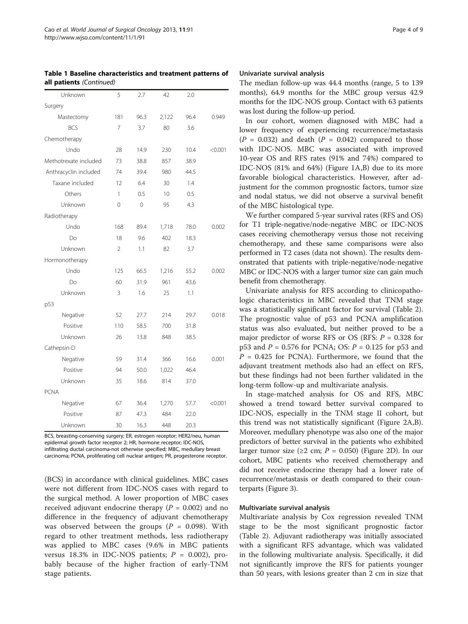Table 1 Baseline characteristics and treatment patterns of all patients (Continued)

| Unknown               | 5              | 2.7         | 42    | 2.0  |         |
|-----------------------|----------------|-------------|-------|------|---------|
| Surgery               |                |             |       |      |         |
| Mastectomy            | 181            | 96.3        | 2,122 | 96.4 | 0.949   |
| <b>BCS</b>            | 7              | 3.7         | 80    | 3.6  |         |
| Chemotherapy          |                |             |       |      |         |
| Undo                  | 28             | 14.9        | 230   | 10.4 | < 0.001 |
| Methotrexate included | 73             | 38.8        | 857   | 38.9 |         |
| Anthracyclin included | 74             | 39.4        | 980   | 44.5 |         |
| Taxane included       | 12             | 6.4         | 30    | 1.4  |         |
| Others                | 1              | 0.5         | 10    | 0.5  |         |
| Unknown               | 0              | $\mathbf 0$ | 95    | 4.3  |         |
| Radiotherapy          |                |             |       |      |         |
| Undo                  | 168            | 89.4        | 1,718 | 78.0 | 0.002   |
| Do                    | 18             | 9.6         | 402   | 18.3 |         |
| Unknown               | $\overline{2}$ | 1.1         | 82    | 3.7  |         |
| Hormonotherapy        |                |             |       |      |         |
| Undo                  | 125            | 66.5        | 1,216 | 55.2 | 0.002   |
| Do                    | 60             | 31.9        | 961   | 43.6 |         |
| Unknown               | 3              | 1.6         | 25    | 1.1  |         |
| p53                   |                |             |       |      |         |
| Negative              | 52             | 27.7        | 214   | 29.7 | 0.018   |
| Positive              | 110            | 58.5        | 700   | 31.8 |         |
| Unknown               | 26             | 13.8        | 848   | 38.5 |         |
| Cathepsin-D           |                |             |       |      |         |
| Negative              | 59             | 31.4        | 366   | 16.6 | 0.001   |
| Positive              | 94             | 50.0        | 1,022 | 46.4 |         |
| Unknown               | 35             | 18.6        | 814   | 37.0 |         |
| <b>PCNA</b>           |                |             |       |      |         |
| Negative              | 67             | 36.4        | 1,270 | 57.7 | < 0.001 |
| Positive              | 87             | 47.3        | 484   | 22.0 |         |
| Unknown               | 30             | 16.3        | 448   | 20.3 |         |

BCS, breasting-conserving surgery; ER, estrogen receptor; HER2/neu, human epidermal growth factor receptor 2; HR, hormone receptor; IDC-NOS, infiltrating ductal carcinoma-not otherwise specified; MBC, medullary breast carcinoma; PCNA, proliferating cell nuclear antigen; PR, progesterone receptor.

(BCS) in accordance with clinical guidelines. MBC cases were not different from IDC-NOS cases with regard to the surgical method. A lower proportion of MBC cases received adjuvant endocrine therapy ( $P = 0.002$ ) and no difference in the frequency of adjuvant chemotherapy was observed between the groups ( $P = 0.098$ ). With regard to other treatment methods, less radiotherapy was applied to MBC cases (9.6% in MBC patients versus 18.3% in IDC-NOS patients;  $P = 0.002$ ), probably because of the higher fraction of early-TNM stage patients.

#### Univariate survival analysis

The median follow-up was 44.4 months (range, 5 to 139 months), 64.9 months for the MBC group versus 42.9 months for the IDC-NOS group. Contact with 63 patients was lost during the follow-up period.

In our cohort, women diagnosed with MBC had a lower frequency of experiencing recurrence/metastasis  $(P = 0.032)$  and death  $(P = 0.042)$  compared to those with IDC-NOS. MBC was associated with improved 10-year OS and RFS rates (91% and 74%) compared to IDC-NOS (81% and 64%) (Figure [1A](#page-4-0),B) due to its more favorable biological characteristics. However, after adjustment for the common prognostic factors, tumor size and nodal status, we did not observe a survival benefit of the MBC histological type.

We further compared 5-year survival rates (RFS and OS) for T1 triple-negative/node-negative MBC or IDC-NOS cases receiving chemotherapy versus those not receiving chemotherapy, and these same comparisons were also performed in T2 cases (data not shown). The results demonstrated that patients with triple-negative/node-negative MBC or IDC-NOS with a larger tumor size can gain much benefit from chemotherapy.

Univariate analysis for RFS according to clinicopathologic characteristics in MBC revealed that TNM stage was a statistically significant factor for survival (Table [2](#page-4-0)). The prognostic value of p53 and PCNA amplification status was also evaluated, but neither proved to be a major predictor of worse RFS or OS (RFS:  $P = 0.328$  for p53 and  $P = 0.576$  for PCNA; OS:  $P = 0.125$  for p53 and  $P = 0.425$  for PCNA). Furthermore, we found that the adjuvant treatment methods also had an effect on RFS, but these findings had not been further validated in the long-term follow-up and multivariate analysis.

In stage-matched analysis for OS and RFS, MBC showed a trend toward better survival compared to IDC-NOS, especially in the TNM stage II cohort, but this trend was not statistically significant (Figure [2](#page-5-0)A,B). Moreover, medullary phenotype was also one of the major predictors of better survival in the patients who exhibited larger tumor size ( $\geq$ 2 cm; P = 0.050) (Figure [2D](#page-5-0)). In our cohort, MBC patients who received chemotherapy and did not receive endocrine therapy had a lower rate of recurrence/metastasis or death compared to their counterparts (Figure [3](#page-6-0)).

## Multivariate survival analysis

Multivariate analysis by Cox regression revealed TNM stage to be the most significant prognostic factor (Table [2\)](#page-4-0). Adjuvant radiotherapy was initially associated with a significant RFS advantage, which was validated in the following multivariate analysis. Specifically, it did not significantly improve the RFS for patients younger than 50 years, with lesions greater than 2 cm in size that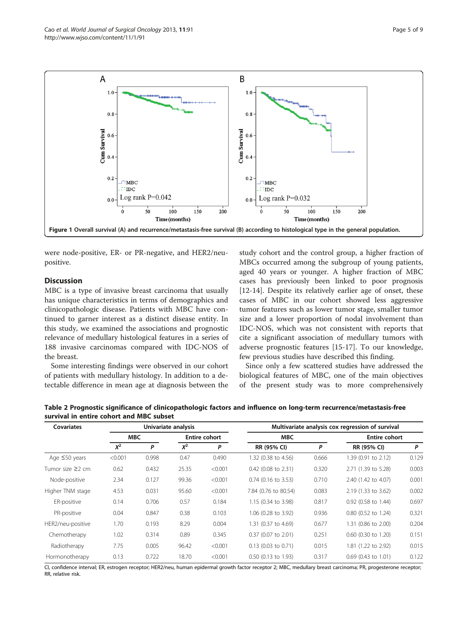were node-positive, ER- or PR-negative, and HER2/neupositive.

#### **Discussion**

MBC is a type of invasive breast carcinoma that usually has unique characteristics in terms of demographics and clinicopathologic disease. Patients with MBC have continued to garner interest as a distinct disease entity. In this study, we examined the associations and prognostic relevance of medullary histological features in a series of 188 invasive carcinomas compared with IDC-NOS of the breast.

Some interesting findings were observed in our cohort of patients with medullary histology. In addition to a detectable difference in mean age at diagnosis between the

study cohort and the control group, a higher fraction of MBCs occurred among the subgroup of young patients, aged 40 years or younger. A higher fraction of MBC cases has previously been linked to poor prognosis [[12-14](#page-7-0)]. Despite its relatively earlier age of onset, these cases of MBC in our cohort showed less aggressive tumor features such as lower tumor stage, smaller tumor size and a lower proportion of nodal involvement than IDC-NOS, which was not consistent with reports that cite a significant association of medullary tumors with adverse prognostic features [[15-17](#page-7-0)]. To our knowledge, few previous studies have described this finding.

Since only a few scattered studies have addressed the biological features of MBC, one of the main objectives of the present study was to more comprehensively

| Table 2 Prognostic significance of clinicopathologic factors and influence on long-term recurrence/metastasis-free |  |  |
|--------------------------------------------------------------------------------------------------------------------|--|--|
| survival in entire cohort and MBC subset                                                                           |  |  |

| <b>Covariates</b>    | Univariate analysis |       |                      |         | Multivariate analysis cox regression of survival |       |                       |       |  |
|----------------------|---------------------|-------|----------------------|---------|--------------------------------------------------|-------|-----------------------|-------|--|
|                      | <b>MBC</b>          |       | <b>Entire cohort</b> |         | <b>MBC</b>                                       |       | <b>Entire cohort</b>  |       |  |
|                      | $X^2$               | P     | $X^2$                | P       | RR (95% CI)                                      | P     | RR (95% CI)           | P     |  |
| Age $\leq 50$ years  | < 0.001             | 0.998 | 0.47                 | 0.490   | 1.32 (0.38 to 4.56)                              | 0.666 | 1.39 (0.91 to 2.12)   | 0.129 |  |
| Tumor size $\geq$ cm | 0.62                | 0.432 | 25.35                | < 0.001 | $0.42$ (0.08 to 2.31)                            | 0.320 | 2.71 (1.39 to 5.28)   | 0.003 |  |
| Node-positive        | 2.34                | 0.127 | 99.36                | < 0.001 | $0.74$ (0.16 to 3.53)                            | 0.710 | 2.40 (1.42 to 4.07)   | 0.001 |  |
| Higher TNM stage     | 4.53                | 0.031 | 95.60                | < 0.001 | 7.84 (0.76 to 80.54)                             | 0.083 | 2.19 (1.33 to 3.62)   | 0.002 |  |
| ER-positive          | 0.14                | 0.706 | 0.57                 | 0.184   | 1.15 (0.34 to 3.98)                              | 0.817 | $0.92$ (0.58 to 1.44) | 0.697 |  |
| PR-positive          | 0.04                | 0.847 | 0.38                 | 0.103   | 1.06 (0.28 to 3.92)                              | 0.936 | 0.80 (0.52 to 1.24)   | 0.321 |  |
| HER2/neu-positive    | 1.70                | 0.193 | 8.29                 | 0.004   | 1.31 (0.37 to 4.69)                              | 0.677 | 1.31 (0.86 to 2.00)   | 0.204 |  |
| Chemotherapy         | 1.02                | 0.314 | 0.89                 | 0.345   | 0.37 (0.07 to 2.01)                              | 0.251 | $0.60$ (0.30 to 1.20) | 0.151 |  |
| Radiotherapy         | 7.75                | 0.005 | 96.42                | < 0.001 | $0.13$ (0.03 to 0.71)                            | 0.015 | 1.81 (1.22 to 2.92)   | 0.015 |  |
| Hormonotherapy       | 0.13                | 0.722 | 18.70                | < 0.001 | 0.50 (0.13 to 1.93)                              | 0.317 | $0.69$ (0.43 to 1.01) | 0.122 |  |

CI, confidence interval; ER, estrogen receptor; HER2/neu, human epidermal growth factor receptor 2; MBC, medullary breast carcinoma; PR, progesterone receptor; RR, relative risk.

<span id="page-4-0"></span>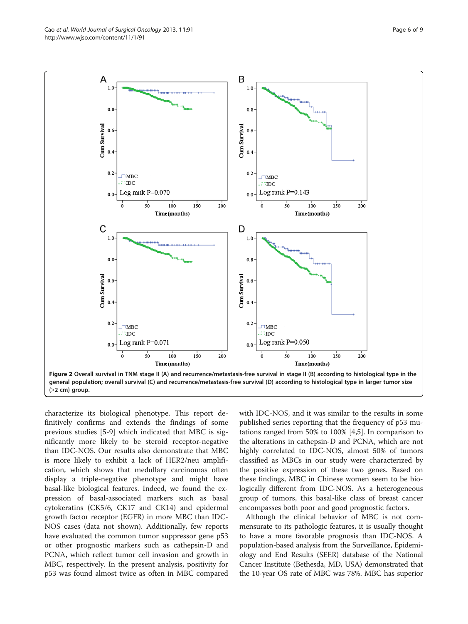characterize its biological phenotype. This report definitively confirms and extends the findings of some previous studies [\[5](#page-7-0)-[9\]](#page-7-0) which indicated that MBC is significantly more likely to be steroid receptor-negative than IDC-NOS. Our results also demonstrate that MBC is more likely to exhibit a lack of HER2/neu amplification, which shows that medullary carcinomas often display a triple-negative phenotype and might have basal-like biological features. Indeed, we found the expression of basal-associated markers such as basal cytokeratins (CK5/6, CK17 and CK14) and epidermal growth factor receptor (EGFR) in more MBC than IDC-NOS cases (data not shown). Additionally, few reports have evaluated the common tumor suppressor gene p53 or other prognostic markers such as cathepsin-D and PCNA, which reflect tumor cell invasion and growth in MBC, respectively. In the present analysis, positivity for p53 was found almost twice as often in MBC compared

with IDC-NOS, and it was similar to the results in some published series reporting that the frequency of p53 mutations ranged from 50% to 100% [[4](#page-7-0),[5](#page-7-0)]. In comparison to the alterations in cathepsin-D and PCNA, which are not highly correlated to IDC-NOS, almost 50% of tumors classified as MBCs in our study were characterized by the positive expression of these two genes. Based on these findings, MBC in Chinese women seem to be biologically different from IDC-NOS. As a heterogeneous group of tumors, this basal-like class of breast cancer encompasses both poor and good prognostic factors.

Although the clinical behavior of MBC is not commensurate to its pathologic features, it is usually thought to have a more favorable prognosis than IDC-NOS. A population-based analysis from the Surveillance, Epidemiology and End Results (SEER) database of the National Cancer Institute (Bethesda, MD, USA) demonstrated that the 10-year OS rate of MBC was 78%. MBC has superior

<span id="page-5-0"></span>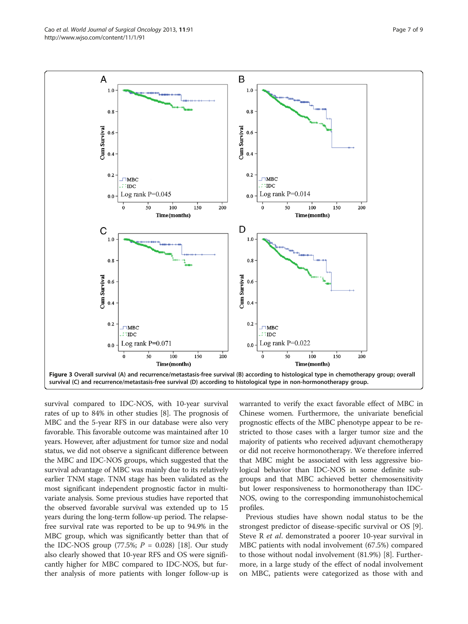<span id="page-6-0"></span>

survival compared to IDC-NOS, with 10-year survival rates of up to 84% in other studies [\[8](#page-7-0)]. The prognosis of MBC and the 5-year RFS in our database were also very favorable. This favorable outcome was maintained after 10 years. However, after adjustment for tumor size and nodal status, we did not observe a significant difference between the MBC and IDC-NOS groups, which suggested that the survival advantage of MBC was mainly due to its relatively earlier TNM stage. TNM stage has been validated as the most significant independent prognostic factor in multivariate analysis. Some previous studies have reported that the observed favorable survival was extended up to 15 years during the long-term follow-up period. The relapsefree survival rate was reported to be up to 94.9% in the MBC group, which was significantly better than that of the IDC-NOS group (77.5%;  $P = 0.028$ ) [\[18](#page-7-0)]. Our study also clearly showed that 10-year RFS and OS were significantly higher for MBC compared to IDC-NOS, but further analysis of more patients with longer follow-up is

warranted to verify the exact favorable effect of MBC in Chinese women. Furthermore, the univariate beneficial prognostic effects of the MBC phenotype appear to be restricted to those cases with a larger tumor size and the majority of patients who received adjuvant chemotherapy or did not receive hormonotherapy. We therefore inferred that MBC might be associated with less aggressive biological behavior than IDC-NOS in some definite subgroups and that MBC achieved better chemosensitivity but lower responsiveness to hormonotherapy than IDC-NOS, owing to the corresponding immunohistochemical profiles.

Previous studies have shown nodal status to be the strongest predictor of disease-specific survival or OS [\[9](#page-7-0)]. Steve R *et al.* demonstrated a poorer 10-year survival in MBC patients with nodal involvement (67.5%) compared to those without nodal involvement (81.9%) [\[8](#page-7-0)]. Furthermore, in a large study of the effect of nodal involvement on MBC, patients were categorized as those with and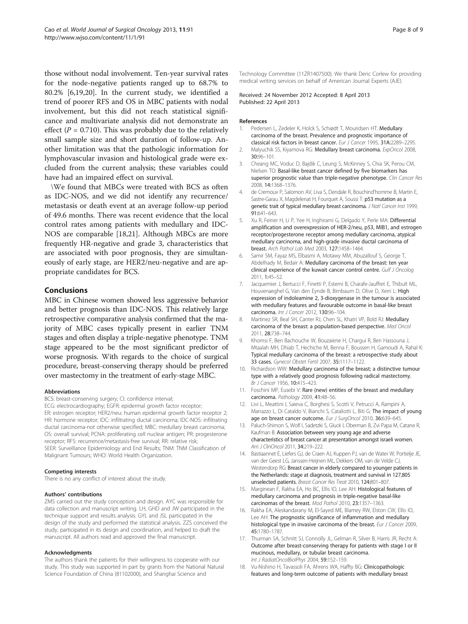<span id="page-7-0"></span>those without nodal involvement. Ten-year survival rates for the node-negative patients ranged up to 68.7% to 80.2% [6,[19,20\]](#page-8-0). In the current study, we identified a trend of poorer RFS and OS in MBC patients with nodal involvement, but this did not reach statistical significance and multivariate analysis did not demonstrate an effect ( $P = 0.710$ ). This was probably due to the relatively small sample size and short duration of follow-up. Another limitation was that the pathologic information for lymphovascular invasion and histological grade were excluded from the current analysis; these variables could have had an impaired effect on survival.

\We found that MBCs were treated with BCS as often as IDC-NOS, and we did not identify any recurrence/ metastasis or death event at an average follow-up period of 49.6 months. There was recent evidence that the local control rates among patients with medullary and IDC-NOS are comparable [18,[21\]](#page-8-0). Although MBCs are more frequently HR-negative and grade 3, characteristics that are associated with poor prognosis, they are simultaneously of early stage, are HER2/neu-negative and are appropriate candidates for BCS.

### Conclusions

MBC in Chinese women showed less aggressive behavior and better prognosis than IDC-NOS. This relatively large retrospective comparative analysis confirmed that the majority of MBC cases typically present in earlier TNM stages and often display a triple-negative phenotype. TNM stage appeared to be the most significant predictor of worse prognosis. With regards to the choice of surgical procedure, breast-conserving therapy should be preferred over mastectomy in the treatment of early-stage MBC.

#### Abbreviations

BCS: breast-conserving surgery; CI: confidence interval;

ECG: electrocardiography; EGFR: epidermal growth factor receptor;

ER: estrogen receptor; HER2/neu: human epidermal growth factor receptor 2; HR: hormone receptor; IDC: infiltrating ductal carcinoma; IDC-NOS: infiltrating ductal carcinoma-not otherwise specified; MBC: medullary breast carcinoma; OS: overall survival; PCNA: proliferating cell nuclear antigen; PR: progesterone receptor; RFS: recurrence/metastasis-free survival; RR: relative risk; SEER: Surveillance Epidemiology and End Results; TNM: TNM Classification of Malignant Tumours; WHO: World Health Organization.

#### Competing interests

There is no any conflict of interest about the study.

#### Authors' contributions

ZMS carried out the study conception and design. AYC was responsible for data collection and manuscript writing. LH, GHD and JW participated in the technique support and results analysis. GYL and JSL participated in the design of the study and performed the statistical analysis. ZZS conceived the study, participated in its design and coordination, and helped to draft the manuscript. All authors read and approved the final manuscript.

#### Acknowledgments

The authors thank the patients for their willingness to cooperate with our study. This study was supported in part by grants from the National Natural Science Foundation of China (81102000), and Shanghai Science and

Technology Committee (11ZR1407500). We thank Deric Corlew for providing medical writing services on behalf of American Journal Experts (AJE).

Received: 24 November 2012 Accepted: 8 April 2013 Published: 22 April 2013

#### References

- Pedersen L, Zedeler K, Holck S, Schiødt T, Mouridsen HT: Medullary carcinoma of the breast. Prevalence and prognostic importance of classical risk factors in breast cancer. Eur J Cancer 1995, 31A:2289–2295.
- 2. Malyuchik SS, Kiyamova RG: Medullary breast carcinoma. ExpOncol 2008, 30:96–101.
- 3. Cheang MC, Voduc D, Bajdik C, Leung S, McKinney S, Chia SK, Perou CM, Nielsen TO: Basal-like breast cancer defined by five biomarkers has superior prognostic value than triple-negative phenotype. Clin Cancer Res 2008, 14:1368–1376.
- 4. de Cremoux P, Salomon AV, Liva S, Dendale R, Bouchind'homme B, Martin E, Sastre-Garau X, Magdelenat H, Fourquet A, Soussi T: p53 mutation as a genetic trait of typical medullary breast carcinoma. J Natl Cancer Inst 1999, 91:641–643.
- 5. Xu R, Feiner H, Li P, Yee H, Inghirami G, Delgado Y, Perle MA: Differential amplification and overexpression of HER-2/neu, p53, MIB1, and estrogen receptor/progesterone receptor among medullary carcinoma, atypical medullary carcinoma, and high-grade invasive ductal carcinoma of breast. Arch Pathol Lab Med 2003, 127:1458–1464.
- 6. Samir SM, Fayaz MS, Elbasmi A, Motawy MM, Abuzallouf S, George T, Abdelhady M, Bedair A: Medullary carcinoma of the breast: ten year clinical experience of the kuwait cancer control centre. Gulf J Oncolog 2011, 1:45–52.
- 7. Jacquemier J, Bertucci F, Finetti P, Esterni B, Charafe-Jauffret E, Thibult ML, Houvenaeghel G, Van den Eynde B, Birnbaum D, Olive D, Xerri L: High expression of indoleamine 2, 3-dioxygenase in the tumour is associated with medullary features and favourable outcome in basal-like breast carcinoma. Int J Cancer 2012, 130:96–104.
- 8. Martinez SR, Beal SH, Canter RJ, Chen SL, Khatri VP, Bold RJ: Medullary carcinoma of the breast: a population-based perspective. Med Oncol 2011, 28:738–744.
- 9. Khomsi F, Ben Bachouche W, Bouzaiene H, Chargui R, Ben Hassouna J, Mtaalah MH, Dhiab T, Hechiche M, Benna F, Boussen H, Gamoudi A, Rahal K: Typical medullary carcinoma of the breast: a retrospective study about 33 cases. Gynecol Obstet Fertil 2007, 35:1117–1122.
- 10. Richardson WW: Medullary carcinoma of the breast; a distinctive tumour type with a relatively good prognosis following radical mastectomy. Br J Cancer 1956, 10:415–423.
- 11. Foschini MP, Eusebi V: Rare (new) entities of the breast and medullary carcinoma. Pathology 2009, 41:48–56.
- 12. Livi L, Meattini I, Saieva C, Borghesi S, Scotti V, Petrucci A, Rampini A, Marrazzo L, Di Cataldo V, Bianchi S, Cataliotti L, Biti G: The impact of young age on breast cancer outcome. Eur J SurgOncol 2010, 36:639-645.
- 13. Paluch-Shimon S, Wolf I, Sadetzki S, Gluck I, Oberman B, Zvi Papa M, Catane R, Kaufman B: Association between very young age and adverse characteristics of breast cancer at presentation amongst israeli women. Am J ClinOncol 2011, 34:219–222.
- 14. Bastiaannet E, Liefers GJ, de Craen AJ, Kuppen PJ, van de Water W, Portielje JE, van der Geest LG, Janssen-Heijnen ML, Dekkers OM, van de Velde CJ, Westendorp RG: Breast cancer in elderly compared to younger patients in the Netherlands: stage at diagnosis, treatment and survival in 127,805 unselected patients. Breast Cancer Res Treat 2010, 124:801–807.
- 15. Marginean F, Rakha EA, Ho BC, Ellis IO, Lee AH: Histological features of medullary carcinoma and prognosis in triple-negative basal-like carcinomas of the breast. Mod Pathol 2010, 23:1357–1363.
- 16. Rakha EA, Aleskandarany M, El-Sayed ME, Blamey RW, Elston CW, Ellis IO, Lee AH: The prognostic significance of inflammation and medullary histological type in invasive carcinoma of the breast. Eur J Cancer 2009, 45:1780–1787.
- 17. Thurman SA, Schnitt SJ, Connolly JL, Gelman R, Silver B, Harris JR, Recht A: Outcome after breast-conserving therapy for patients with stage I or II mucinous, medullary, or tubular breast carcinoma. Int J RadiatOncolBiolPhys 2004, 59:152-159.
- 18. Vu-Nishino H, Tavassoli FA, Ahrens WA, Haffty BG: Clinicopathologic features and long-term outcome of patients with medullary breast